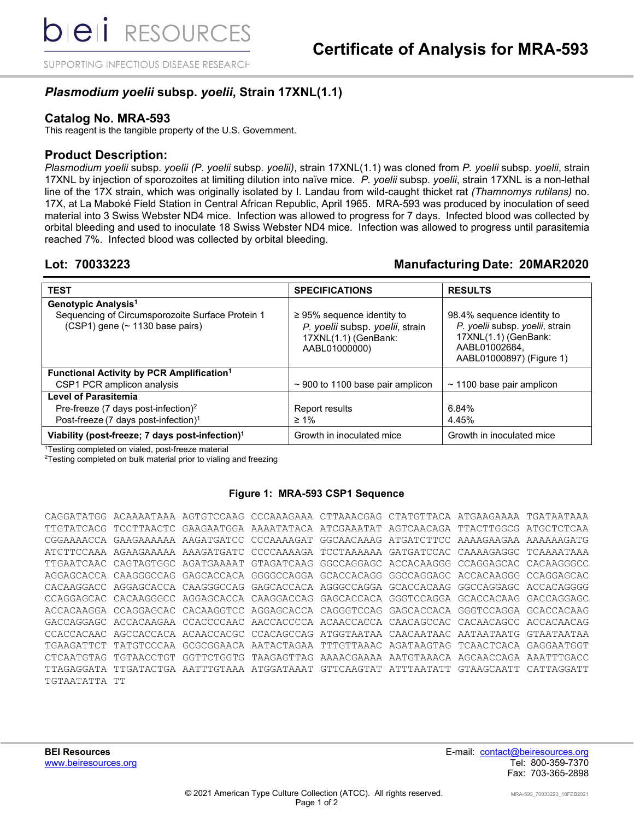SUPPORTING INFECTIOUS DISEASE RESEARCH

# *Plasmodium yoelii* **subsp.** *yoelii***, Strain 17XNL(1.1)**

### **Catalog No. MRA-593**

This reagent is the tangible property of the U.S. Government.

### **Product Description:**

*Plasmodium yoelii* subsp. *yoelii (P. yoelii* subsp*. yoelii)*, strain 17XNL(1.1) was cloned from *P. yoelii* subsp. *yoelii*, strain 17XNL by injection of sporozoites at limiting dilution into naïve mice. *P. yoelii* subsp*. yoelii*, strain 17XNL is a non-lethal line of the 17X strain, which was originally isolated by I. Landau from wild-caught thicket rat *(Thamnomys rutilans)* no. 17X, at La Maboké Field Station in Central African Republic, April 1965. MRA-593 was produced by inoculation of seed material into 3 Swiss Webster ND4 mice. Infection was allowed to progress for 7 days. Infected blood was collected by orbital bleeding and used to inoculate 18 Swiss Webster ND4 mice. Infection was allowed to progress until parasitemia reached 7%. Infected blood was collected by orbital bleeding.

## **Lot: 70033223 Manufacturing Date: 20MAR2020**

| <b>TEST</b>                                                                         | <b>SPECIFICATIONS</b>                                                                                       | <b>RESULTS</b>                                                                                                                     |  |
|-------------------------------------------------------------------------------------|-------------------------------------------------------------------------------------------------------------|------------------------------------------------------------------------------------------------------------------------------------|--|
| Genotypic Analysis <sup>1</sup>                                                     |                                                                                                             |                                                                                                                                    |  |
| Sequencing of Circumsporozoite Surface Protein 1<br>(CSP1) gene (~ 1130 base pairs) | $\geq$ 95% sequence identity to<br>P. yoelii subsp. yoelii, strain<br>17XNL(1.1) (GenBank:<br>AABL01000000) | 98.4% sequence identity to<br>P. yoelii subsp. yoelii, strain<br>17XNL(1.1) (GenBank:<br>AABL01002684,<br>AABL01000897) (Figure 1) |  |
| Functional Activity by PCR Amplification <sup>1</sup>                               |                                                                                                             |                                                                                                                                    |  |
| CSP1 PCR amplicon analysis                                                          | $\sim$ 900 to 1100 base pair amplicon                                                                       | $\sim$ 1100 base pair amplicon                                                                                                     |  |
| <b>Level of Parasitemia</b>                                                         |                                                                                                             |                                                                                                                                    |  |
| Pre-freeze (7 days post-infection) <sup>2</sup>                                     | Report results                                                                                              | 6.84%                                                                                                                              |  |
| Post-freeze (7 days post-infection) <sup>1</sup>                                    | $\geq 1\%$                                                                                                  | 4.45%                                                                                                                              |  |
| Viability (post-freeze; 7 days post-infection) <sup>1</sup>                         | Growth in inoculated mice                                                                                   | Growth in inoculated mice                                                                                                          |  |

1 Testing completed on vialed, post-freeze material

 $^{2}$ Testing completed on bulk material prior to vialing and freezing

### **Figure 1: MRA-593 CSP1 Sequence**

|               |  | CAGGATATGG ACAAAATAAA AGTGTCCAAG CCCAAAGAAA CTTAAACGAG CTATGTTACA ATGAAGAAAA TGATAATAAA |  |  |
|---------------|--|-----------------------------------------------------------------------------------------|--|--|
|               |  | TTGTATCACG TCCTTAACTC GAAGAATGGA AAAATATACA ATCGAAATAT AGTCAACAGA TTACTTGGCG ATGCTCTCAA |  |  |
|               |  | CGGAAAACCA GAAGAAAAAA AAGATGATCC CCCAAAAGAT GGCAACAAAG ATGATCTTCC AAAAGAAGAA AAAAAAGATG |  |  |
|               |  | ATCTTCCAAA AGAAGAAAAA AAAGATGATC CCCCAAAAGA TCCTAAAAAA GATGATCCAC CAAAAGAGGC TCAAAATAAA |  |  |
|               |  | TTGAATCAAC CAGTAGTGGC AGATGAAAAT GTAGATCAAG GGCCAGGAGC ACCACAAGGG CCAGGAGCAC CACAAGGGCC |  |  |
|               |  | AGGAGCACCA CAAGGGCCAG GAGCACCACA GGGGCCAGGA GCACCACAGG GGCCAGGAGC ACCACAAGGG CCAGGAGCAC |  |  |
|               |  | CACAAGGACC AGGAGCACCA CAAGGGCCAG GAGCACCACA AGGGCCAGGA GCACCACAAG GGCCAGGAGC ACCACAGGGG |  |  |
|               |  | CCAGGAGCAC CACAAGGGCC AGGAGCACCA CAAGGACCAG GAGCACCACA GGGTCCAGGA GCACCACAAG GACCAGGAGC |  |  |
|               |  | ACCACAAGGA CCAGGAGCAC CACAAGGTCC AGGAGCACCA CAGGGTCCAG GAGCACCACA GGGTCCAGGA GCACCACAAG |  |  |
|               |  | GACCAGGAGC ACCACAAGAA CCACCCCAAC AACCACCCCA ACAACCACCA CAACAGCCAC CACAACAGCC ACCACAACAG |  |  |
|               |  | CCACCACAAC AGCCACCACA ACAACCACGC CCACAGCCAG ATGGTAATAA CAACAATAAC AATAATAATG GTAATAATAA |  |  |
|               |  | TGAAGATTCT TATGTCCCAA GCGCGGAACA AATACTAGAA TTTGTTAAAC AGATAAGTAG TCAACTCACA GAGGAATGGT |  |  |
|               |  | CTCAATGTAG TGTAACCTGT GGTTCTGGTG TAAGAGTTAG AAAACGAAAA AATGTAAACA AGCAACCAGA AAATTTGACC |  |  |
|               |  | TTAGAGGATA TTGATACTGA AATTTGTAAA ATGGATAAAT GTTCAAGTAT ATTTAATATT GTAAGCAATT CATTAGGATT |  |  |
| TGTAATATTA TT |  |                                                                                         |  |  |